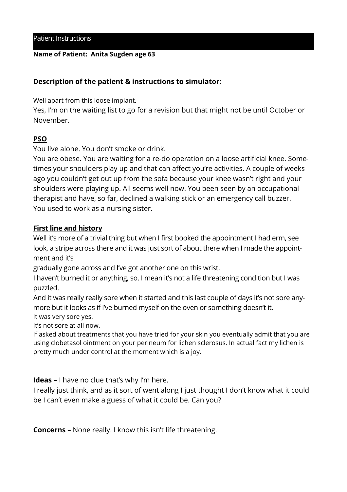## **Name of Patient: Anita Sugden age 63**

## **Description of the patient & instructions to simulator:**

Well apart from this loose implant.

Yes, I'm on the waiting list to go for a revision but that might not be until October or November.

## **PSO**

You live alone. You don't smoke or drink.

You are obese. You are waiting for a re-do operation on a loose artificial knee. Sometimes your shoulders play up and that can affect you're activities. A couple of weeks ago you couldn't get out up from the sofa because your knee wasn't right and your shoulders were playing up. All seems well now. You been seen by an occupational therapist and have, so far, declined a walking stick or an emergency call buzzer. You used to work as a nursing sister.

## **First line and history**

Well it's more of a trivial thing but when I first booked the appointment I had erm, see look, a stripe across there and it was just sort of about there when I made the appointment and it's

gradually gone across and I've got another one on this wrist.

I haven't burned it or anything, so. I mean it's not a life threatening condition but I was puzzled.

And it was really really sore when it started and this last couple of days it's not sore anymore but it looks as if I've burned myself on the oven or something doesn't it. It was very sore yes.

It's not sore at all now.

If asked about treatments that you have tried for your skin you eventually admit that you are using clobetasol ointment on your perineum for lichen sclerosus. In actual fact my lichen is pretty much under control at the moment which is a joy.

**Ideas –** I have no clue that's why I'm here.

I really just think, and as it sort of went along I just thought I don't know what it could be I can't even make a guess of what it could be. Can you?

**Concerns –** None really. I know this isn't life threatening.